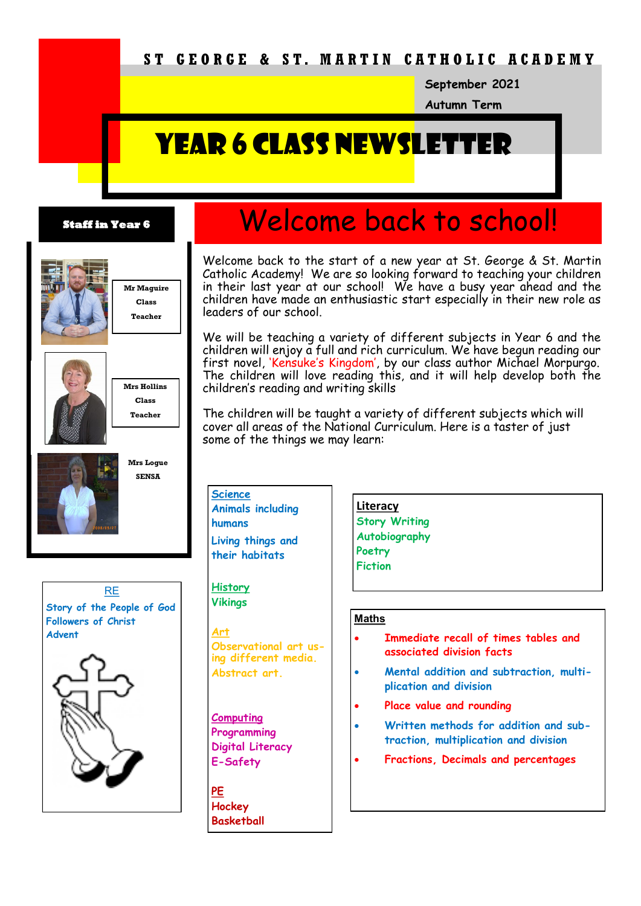## **S T G E O R G E & S T. M A R T I N C A T H O L I C A C A D E M Y**

**September 2021**

**Autumn Term**

# **YEAR 6 CLASS NEWSLETT**

#### **Staff in Year 6**



**Mr Maguire Class Teacher**



**Mrs Hollins Class Teacher**



**Mrs Logue SENSA**



# Welcome back to school!

Welcome back to the start of a new year at St. George & St. Martin Catholic Academy! We are so looking forward to teaching your children in their last year at our school! We have a busy year ahead and the children have made an enthusiastic start especially in their new role as leaders of our school.

We will be teaching a variety of different subjects in Year 6 and the children will enjoy a full and rich curriculum. We have begun reading our first novel, 'Kensuke's Kingdom', by our class author Michael Morpurgo. The children will love reading this, and it will help develop both the children's reading and writing skills

The children will be taught a variety of different subjects which will cover all areas of the National Curriculum. Here is a taster of just some of the things we may learn:

**Science Animals including humans Living things and their habitats**

**History Vikings**

**Art Observational art using different media. Abstract art.** 

**Computing Programming Digital Literacy E-Safety**

**PE Hockey Basketball**

**Literacy Story Writing Autobiography Poetry Fiction**

#### **Maths**

- **Immediate recall of times tables and associated division facts**
- **Mental addition and subtraction, multiplication and division**
- **Place value and rounding**
- **Written methods for addition and subtraction, multiplication and division**
- **Fractions, Decimals and percentages**